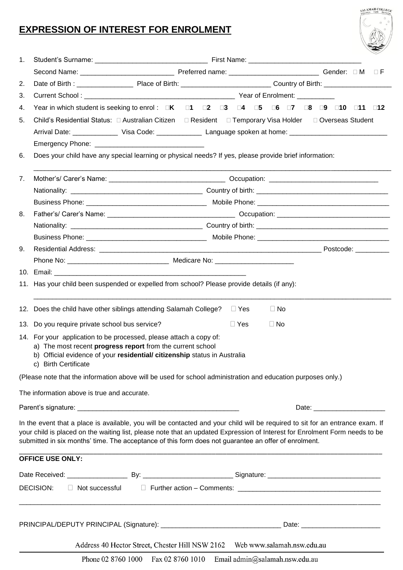## **EXPRESSION OF INTEREST FOR ENROLMENT**

| 1. |                                                                                                                                                                                                                                                                                                                                                                      |                                                                                                                                         |            |           |  |          |
|----|----------------------------------------------------------------------------------------------------------------------------------------------------------------------------------------------------------------------------------------------------------------------------------------------------------------------------------------------------------------------|-----------------------------------------------------------------------------------------------------------------------------------------|------------|-----------|--|----------|
|    |                                                                                                                                                                                                                                                                                                                                                                      |                                                                                                                                         |            |           |  |          |
| 2. |                                                                                                                                                                                                                                                                                                                                                                      |                                                                                                                                         |            |           |  | $\Box$ F |
| 3. |                                                                                                                                                                                                                                                                                                                                                                      |                                                                                                                                         |            |           |  |          |
|    |                                                                                                                                                                                                                                                                                                                                                                      | Year in which student is seeking to enrol : <b>OK</b> 01 02 03 04 05 06 07 08 09 010 011 012                                            |            |           |  |          |
| 4. |                                                                                                                                                                                                                                                                                                                                                                      |                                                                                                                                         |            |           |  |          |
| 5. |                                                                                                                                                                                                                                                                                                                                                                      |                                                                                                                                         |            |           |  |          |
|    | Arrival Date: _______________ Visa Code: ______________ Language spoken at home: _____________________________                                                                                                                                                                                                                                                       |                                                                                                                                         |            |           |  |          |
| 6. |                                                                                                                                                                                                                                                                                                                                                                      |                                                                                                                                         |            |           |  |          |
|    | Does your child have any special learning or physical needs? If yes, please provide brief information:                                                                                                                                                                                                                                                               |                                                                                                                                         |            |           |  |          |
| 7. |                                                                                                                                                                                                                                                                                                                                                                      |                                                                                                                                         |            |           |  |          |
|    |                                                                                                                                                                                                                                                                                                                                                                      |                                                                                                                                         |            |           |  |          |
|    |                                                                                                                                                                                                                                                                                                                                                                      |                                                                                                                                         |            |           |  |          |
| 8. |                                                                                                                                                                                                                                                                                                                                                                      |                                                                                                                                         |            |           |  |          |
|    |                                                                                                                                                                                                                                                                                                                                                                      |                                                                                                                                         |            |           |  |          |
|    |                                                                                                                                                                                                                                                                                                                                                                      |                                                                                                                                         |            |           |  |          |
| 9. |                                                                                                                                                                                                                                                                                                                                                                      |                                                                                                                                         |            |           |  |          |
|    |                                                                                                                                                                                                                                                                                                                                                                      |                                                                                                                                         |            |           |  |          |
|    |                                                                                                                                                                                                                                                                                                                                                                      |                                                                                                                                         |            |           |  |          |
|    | 11. Has your child been suspended or expelled from school? Please provide details (if any):<br>12. Does the child have other siblings attending Salamah College? $\square$ Yes                                                                                                                                                                                       |                                                                                                                                         |            | $\Box$ No |  |          |
|    | 13. Do you require private school bus service?                                                                                                                                                                                                                                                                                                                       |                                                                                                                                         | $\Box$ Yes | $\Box$ No |  |          |
|    | 14. For your application to be processed, please attach a copy of:<br>c) Birth Certificate                                                                                                                                                                                                                                                                           | a) The most recent progress report from the current school<br>b) Official evidence of your residential/ citizenship status in Australia |            |           |  |          |
|    | (Please note that the information above will be used for school administration and education purposes only.)                                                                                                                                                                                                                                                         |                                                                                                                                         |            |           |  |          |
|    | The information above is true and accurate.                                                                                                                                                                                                                                                                                                                          |                                                                                                                                         |            |           |  |          |
|    |                                                                                                                                                                                                                                                                                                                                                                      |                                                                                                                                         |            |           |  |          |
|    | In the event that a place is available, you will be contacted and your child will be required to sit for an entrance exam. If<br>your child is placed on the waiting list, please note that an updated Expression of Interest for Enrolment Form needs to be<br>submitted in six months' time. The acceptance of this form does not guarantee an offer of enrolment. |                                                                                                                                         |            |           |  |          |
|    | <b>OFFICE USE ONLY:</b>                                                                                                                                                                                                                                                                                                                                              |                                                                                                                                         |            |           |  |          |
|    |                                                                                                                                                                                                                                                                                                                                                                      |                                                                                                                                         |            |           |  |          |
|    | DECISION:                                                                                                                                                                                                                                                                                                                                                            | □ Not successful □ Further action - Comments: __________________________________                                                        |            |           |  |          |
|    |                                                                                                                                                                                                                                                                                                                                                                      |                                                                                                                                         |            |           |  |          |
|    |                                                                                                                                                                                                                                                                                                                                                                      |                                                                                                                                         |            |           |  |          |
|    |                                                                                                                                                                                                                                                                                                                                                                      | Address 40 Hector Street, Chester Hill NSW 2162  Web www.salamah.nsw.edu.au                                                             |            |           |  |          |

SALAMAH COLLEGE

Phone 02 8760 1000 Fax 02 8760 1010 Email admin@salamah.nsw.edu.au